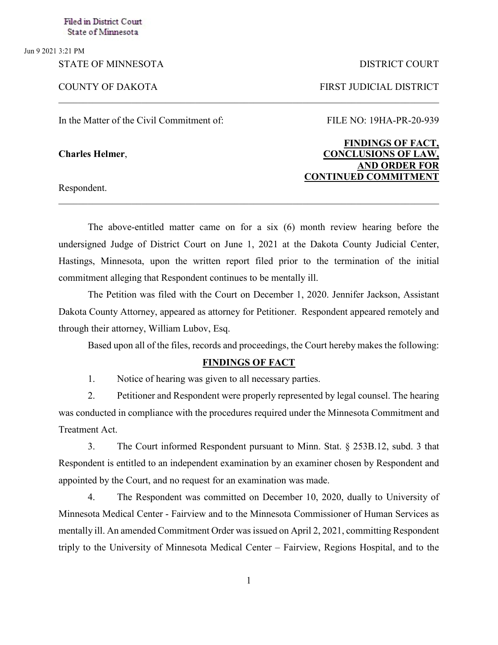Jun 9 2021 3:21 PM

In the Matter of the Civil Commitment of: FILE NO: 19HA-PR-20-939

Respondent.

## STATE OF MINNESOTA DISTRICT COURT

COUNTY OF DAKOTA FIRST JUDICIAL DISTRICT

## **FINDINGS OF FACT, Charles Helmer**, **CONCLUSIONS OF LAW, AND ORDER FOR CONTINUED COMMITMENT**

The above-entitled matter came on for a six (6) month review hearing before the undersigned Judge of District Court on June 1, 2021 at the Dakota County Judicial Center, Hastings, Minnesota, upon the written report filed prior to the termination of the initial commitment alleging that Respondent continues to be mentally ill.

\_\_\_\_\_\_\_\_\_\_\_\_\_\_\_\_\_\_\_\_\_\_\_\_\_\_\_\_\_\_\_\_\_\_\_\_\_\_\_\_\_\_\_\_\_\_\_\_\_\_\_\_\_\_\_\_\_\_\_\_\_\_\_\_\_\_\_\_\_\_\_\_\_\_\_\_\_\_

The Petition was filed with the Court on December 1, 2020. Jennifer Jackson, Assistant Dakota County Attorney, appeared as attorney for Petitioner. Respondent appeared remotely and through their attorney, William Lubov, Esq.

Based upon all of the files, records and proceedings, the Court hereby makes the following:

## **FINDINGS OF FACT**

1. Notice of hearing was given to all necessary parties.

2. Petitioner and Respondent were properly represented by legal counsel. The hearing was conducted in compliance with the procedures required under the Minnesota Commitment and Treatment Act.

3. The Court informed Respondent pursuant to Minn. Stat. § 253B.12, subd. 3 that Respondent is entitled to an independent examination by an examiner chosen by Respondent and appointed by the Court, and no request for an examination was made.

4. The Respondent was committed on December 10, 2020, dually to University of Minnesota Medical Center - Fairview and to the Minnesota Commissioner of Human Services as mentally ill. An amended Commitment Order was issued on April 2, 2021, committing Respondent triply to the University of Minnesota Medical Center – Fairview, Regions Hospital, and to the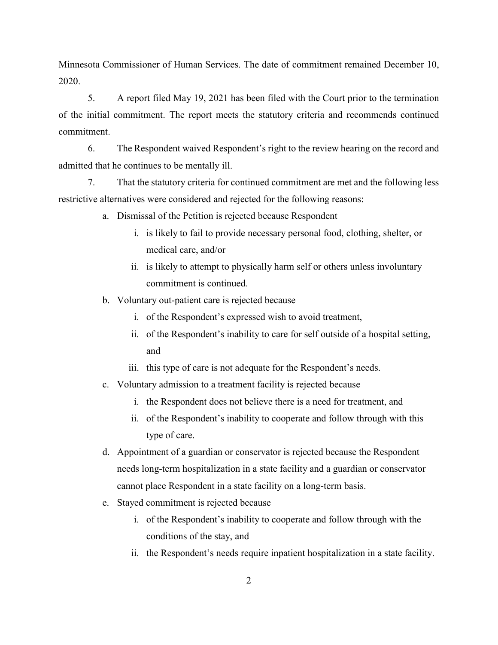Minnesota Commissioner of Human Services. The date of commitment remained December 10, 2020.

5. A report filed May 19, 2021 has been filed with the Court prior to the termination of the initial commitment. The report meets the statutory criteria and recommends continued commitment.

6. The Respondent waived Respondent's right to the review hearing on the record and admitted that he continues to be mentally ill.

7. That the statutory criteria for continued commitment are met and the following less restrictive alternatives were considered and rejected for the following reasons:

- a. Dismissal of the Petition is rejected because Respondent
	- i. is likely to fail to provide necessary personal food, clothing, shelter, or medical care, and/or
	- ii. is likely to attempt to physically harm self or others unless involuntary commitment is continued.
- b. Voluntary out-patient care is rejected because
	- i. of the Respondent's expressed wish to avoid treatment,
	- ii. of the Respondent's inability to care for self outside of a hospital setting, and
	- iii. this type of care is not adequate for the Respondent's needs.
- c. Voluntary admission to a treatment facility is rejected because
	- i. the Respondent does not believe there is a need for treatment, and
	- ii. of the Respondent's inability to cooperate and follow through with this type of care.
- d. Appointment of a guardian or conservator is rejected because the Respondent needs long-term hospitalization in a state facility and a guardian or conservator cannot place Respondent in a state facility on a long-term basis.
- e. Stayed commitment is rejected because
	- i. of the Respondent's inability to cooperate and follow through with the conditions of the stay, and
	- ii. the Respondent's needs require inpatient hospitalization in a state facility.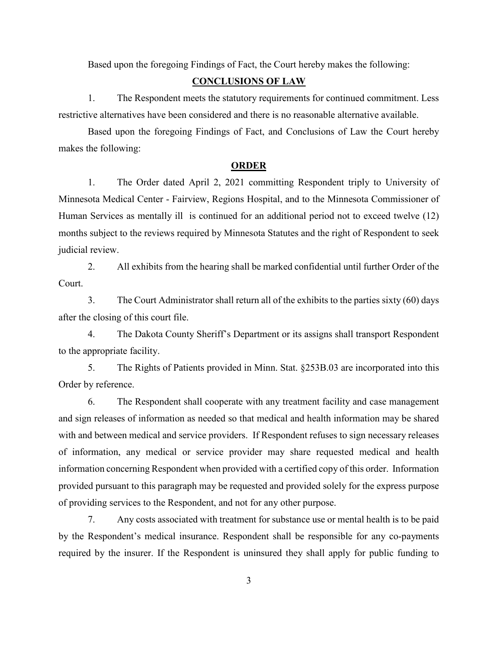Based upon the foregoing Findings of Fact, the Court hereby makes the following:

## **CONCLUSIONS OF LAW**

1. The Respondent meets the statutory requirements for continued commitment. Less restrictive alternatives have been considered and there is no reasonable alternative available.

Based upon the foregoing Findings of Fact, and Conclusions of Law the Court hereby makes the following:

#### **ORDER**

1. The Order dated April 2, 2021 committing Respondent triply to University of Minnesota Medical Center - Fairview, Regions Hospital, and to the Minnesota Commissioner of Human Services as mentally ill is continued for an additional period not to exceed twelve (12) months subject to the reviews required by Minnesota Statutes and the right of Respondent to seek judicial review.

2. All exhibits from the hearing shall be marked confidential until further Order of the Court.

3. The Court Administrator shall return all of the exhibits to the parties sixty (60) days after the closing of this court file.

4. The Dakota County Sheriff's Department or its assigns shall transport Respondent to the appropriate facility.

5. The Rights of Patients provided in Minn. Stat. §253B.03 are incorporated into this Order by reference.

6. The Respondent shall cooperate with any treatment facility and case management and sign releases of information as needed so that medical and health information may be shared with and between medical and service providers. If Respondent refuses to sign necessary releases of information, any medical or service provider may share requested medical and health information concerning Respondent when provided with a certified copy of this order. Information provided pursuant to this paragraph may be requested and provided solely for the express purpose of providing services to the Respondent, and not for any other purpose.

7. Any costs associated with treatment for substance use or mental health is to be paid by the Respondent's medical insurance. Respondent shall be responsible for any co-payments required by the insurer. If the Respondent is uninsured they shall apply for public funding to